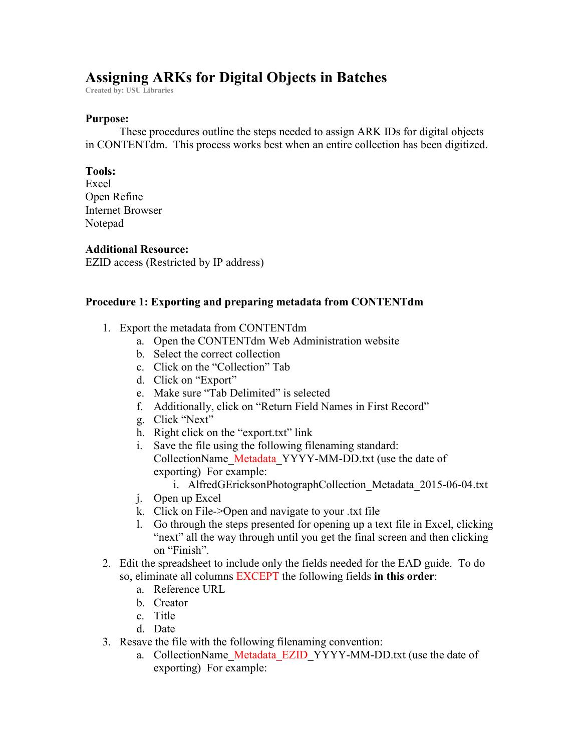# **Assigning ARKs for Digital Objects in Batches**

**Created by: USU Libraries**

#### **Purpose:**

These procedures outline the steps needed to assign ARK IDs for digital objects in CONTENTdm. This process works best when an entire collection has been digitized.

#### **Tools:**

Excel Open Refine Internet Browser Notepad

## **Additional Resource:**

EZID access (Restricted by IP address)

### **Procedure 1: Exporting and preparing metadata from CONTENTdm**

- 1. Export the metadata from CONTENTdm
	- a. Open the CONTENTdm Web Administration website
	- b. Select the correct collection
	- c. Click on the "Collection" Tab
	- d. Click on "Export"
	- e. Make sure "Tab Delimited" is selected
	- f. Additionally, click on "Return Field Names in First Record"
	- g. Click "Next"
	- h. Right click on the "export.txt" link
	- i. Save the file using the following filenaming standard: CollectionName\_Metadata\_YYYY-MM-DD.txt (use the date of exporting) For example:
		- i. AlfredGEricksonPhotographCollection Metadata 2015-06-04.txt
	- j. Open up Excel
	- k. Click on File->Open and navigate to your .txt file
	- l. Go through the steps presented for opening up a text file in Excel, clicking "next" all the way through until you get the final screen and then clicking on "Finish".
- 2. Edit the spreadsheet to include only the fields needed for the EAD guide. To do so, eliminate all columns EXCEPT the following fields **in this order**:
	- a. Reference URL
	- b. Creator
	- c. Title
	- d. Date
- 3. Resave the file with the following filenaming convention:
	- a. CollectionName Metadata EZID YYYY-MM-DD.txt (use the date of exporting) For example: